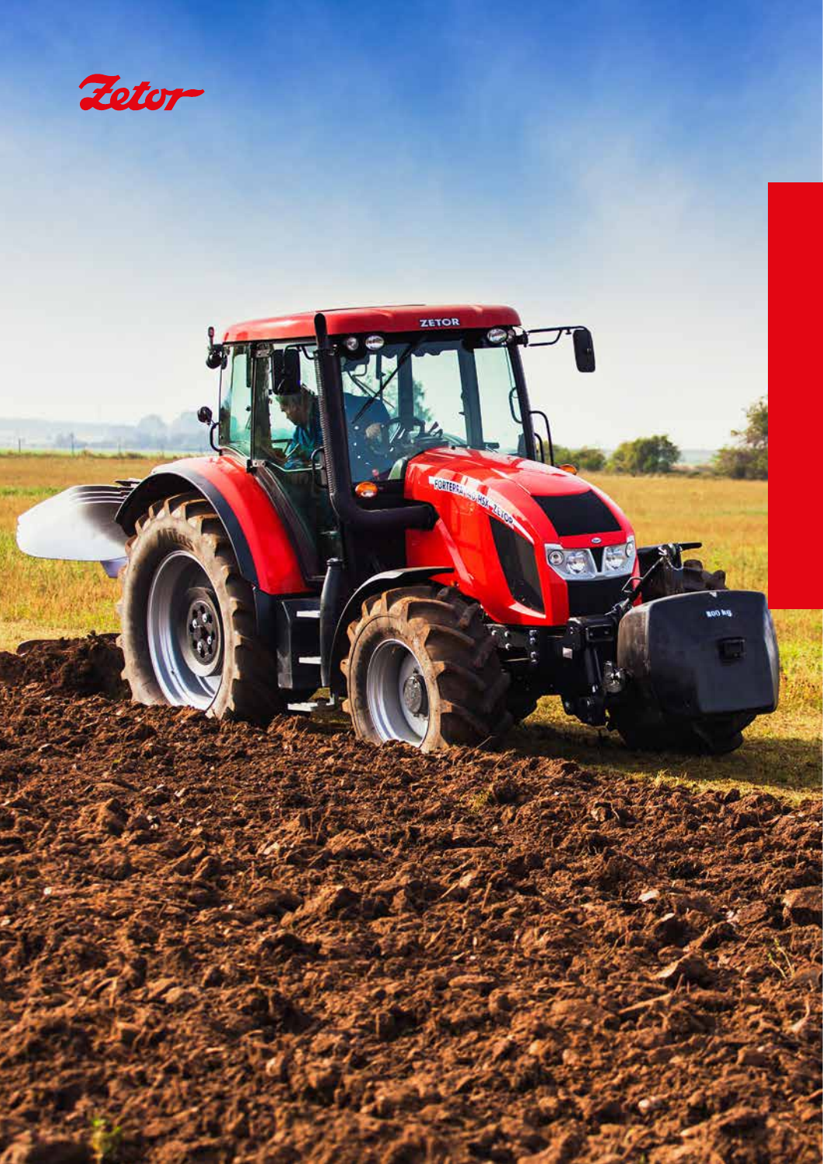

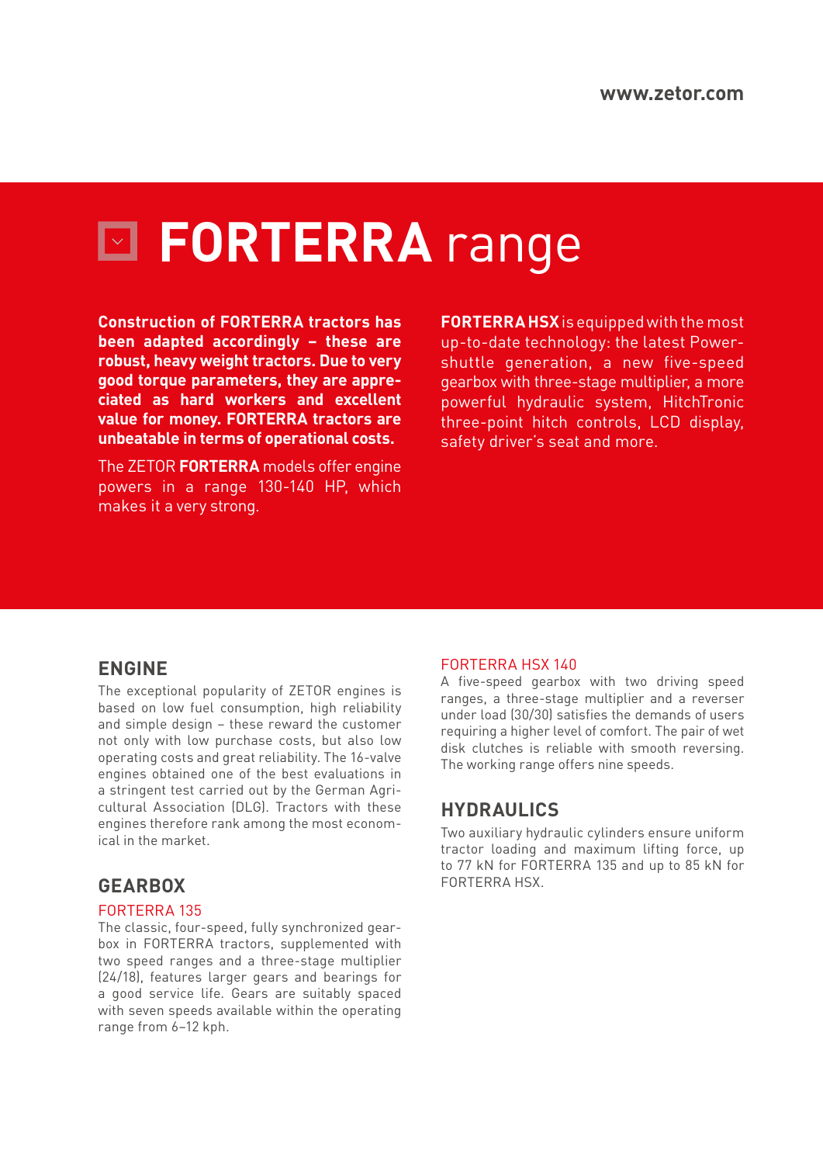# **FORTERRA** range

**Construction of FORTERRA tractors has been adapted accordingly – these are robust, heavy weight tractors. Due to very good torque parameters, they are appreciated as hard workers and excellent value for money. FORTERRA tractors are unbeatable in terms of operational costs.**

The ZETOR **FORTERRA** models offer engine powers in a range 130-140 HP, which makes it a very strong.

**FORTERRA HSX** is equipped with the most up-to-date technology: the latest Powershuttle generation, a new five-speed gearbox with three-stage multiplier, a more powerful hydraulic system, HitchTronic three-point hitch controls, LCD display, safety driver's seat and more.

### **ENGINE**

The exceptional popularity of ZETOR engines is based on low fuel consumption, high reliability and simple design – these reward the customer not only with low purchase costs, but also low operating costs and great reliability. The 16-valve engines obtained one of the best evaluations in a stringent test carried out by the German Agricultural Association (DLG). Tractors with these engines therefore rank among the most economical in the market.

## **GEARBOX**

#### FORTERRA 135

The classic, four-speed, fully synchronized gearbox in FORTERRA tractors, supplemented with two speed ranges and a three-stage multiplier (24/18), features larger gears and bearings for a good service life. Gears are suitably spaced with seven speeds available within the operating range from 6–12 kph.

#### FORTERRA HSX 140

A five-speed gearbox with two driving speed ranges, a three-stage multiplier and a reverser under load (30/30) satisfies the demands of users requiring a higher level of comfort. The pair of wet disk clutches is reliable with smooth reversing. The working range offers nine speeds.

## **HYDRAULICS**

Two auxiliary hydraulic cylinders ensure uniform tractor loading and maximum lifting force, up to 77 kN for FORTERRA 135 and up to 85 kN for FORTERRA HSX.